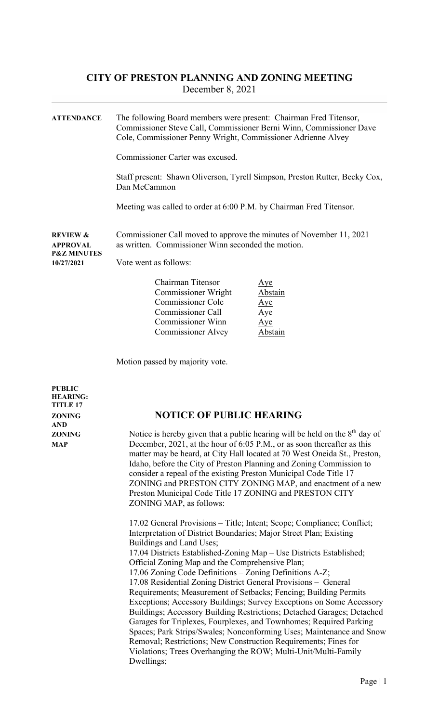ATTENDANCE The following Board members were present: Chairman Fred Titensor, Commissioner Steve Call, Commissioner Berni Winn, Commissioner Dave Cole, Commissioner Penny Wright, Commissioner Adrienne Alvey Commissioner Carter was excused. Staff present: Shawn Oliverson, Tyrell Simpson, Preston Rutter, Becky Cox, Dan McCammon Meeting was called to order at 6:00 P.M. by Chairman Fred Titensor. REVIEW & Commissioner Call moved to approve the minutes of November 11, 2021 APPROVAL as written. Commissioner Winn seconded the motion. P&Z MINUTES 10/27/2021 Vote went as follows: Chairman Titensor Aye Commissioner Wright Abstain Commissioner Cole Aye

Commissioner Call Aye Commissioner Winn Aye Commissioner Alvey Abstain

Motion passed by majority vote.

| <b>PUBLIC</b><br><b>HEARING:</b><br><b>TITLE 17</b> |                                                                                                                                                                                                                                                                                                                                                                                                                                                                                                                                                                                                                                                                                                                                                                                                                                                                                                                                                                                                                                                                                                                                                                                                                                                                                                                                                                                                                                                                                                 |  |  |
|-----------------------------------------------------|-------------------------------------------------------------------------------------------------------------------------------------------------------------------------------------------------------------------------------------------------------------------------------------------------------------------------------------------------------------------------------------------------------------------------------------------------------------------------------------------------------------------------------------------------------------------------------------------------------------------------------------------------------------------------------------------------------------------------------------------------------------------------------------------------------------------------------------------------------------------------------------------------------------------------------------------------------------------------------------------------------------------------------------------------------------------------------------------------------------------------------------------------------------------------------------------------------------------------------------------------------------------------------------------------------------------------------------------------------------------------------------------------------------------------------------------------------------------------------------------------|--|--|
| <b>ZONING</b><br><b>AND</b>                         | <b>NOTICE OF PUBLIC HEARING</b>                                                                                                                                                                                                                                                                                                                                                                                                                                                                                                                                                                                                                                                                                                                                                                                                                                                                                                                                                                                                                                                                                                                                                                                                                                                                                                                                                                                                                                                                 |  |  |
| <b>ZONING</b><br><b>MAP</b>                         | Notice is hereby given that a public hearing will be held on the $8th$ day of<br>December, 2021, at the hour of 6:05 P.M., or as soon thereafter as this<br>matter may be heard, at City Hall located at 70 West Oneida St., Preston,<br>Idaho, before the City of Preston Planning and Zoning Commission to<br>consider a repeal of the existing Preston Municipal Code Title 17<br>ZONING and PRESTON CITY ZONING MAP, and enactment of a new<br>Preston Municipal Code Title 17 ZONING and PRESTON CITY<br>ZONING MAP, as follows:<br>17.02 General Provisions - Title; Intent; Scope; Compliance; Conflict;<br>Interpretation of District Boundaries; Major Street Plan; Existing<br>Buildings and Land Uses;<br>17.04 Districts Established-Zoning Map - Use Districts Established;<br>Official Zoning Map and the Comprehensive Plan;<br>17.06 Zoning Code Definitions - Zoning Definitions A-Z;<br>17.08 Residential Zoning District General Provisions - General<br>Requirements; Measurement of Setbacks; Fencing; Building Permits<br>Exceptions; Accessory Buildings; Survey Exceptions on Some Accessory<br>Buildings; Accessory Building Restrictions; Detached Garages; Detached<br>Garages for Triplexes, Fourplexes, and Townhomes; Required Parking<br>Spaces; Park Strips/Swales; Nonconforming Uses; Maintenance and Snow<br>Removal; Restrictions; New Construction Requirements; Fines for<br>Violations; Trees Overhanging the ROW; Multi-Unit/Multi-Family<br>Dwellings; |  |  |
|                                                     |                                                                                                                                                                                                                                                                                                                                                                                                                                                                                                                                                                                                                                                                                                                                                                                                                                                                                                                                                                                                                                                                                                                                                                                                                                                                                                                                                                                                                                                                                                 |  |  |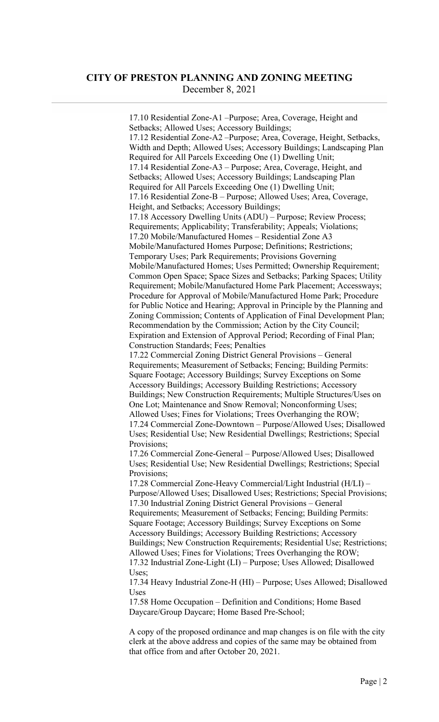17.10 Residential Zone-A1 –Purpose; Area, Coverage, Height and Setbacks; Allowed Uses; Accessory Buildings; 17.12 Residential Zone-A2 –Purpose; Area, Coverage, Height, Setbacks, Width and Depth; Allowed Uses; Accessory Buildings; Landscaping Plan Required for All Parcels Exceeding One (1) Dwelling Unit; 17.14 Residential Zone-A3 – Purpose; Area, Coverage, Height, and Setbacks; Allowed Uses; Accessory Buildings; Landscaping Plan Required for All Parcels Exceeding One (1) Dwelling Unit; 17.16 Residential Zone-B – Purpose; Allowed Uses; Area, Coverage, Height, and Setbacks; Accessory Buildings; 17.18 Accessory Dwelling Units (ADU) – Purpose; Review Process; Requirements; Applicability; Transferability; Appeals; Violations; 17.20 Mobile/Manufactured Homes – Residential Zone A3 Mobile/Manufactured Homes Purpose; Definitions; Restrictions; Temporary Uses; Park Requirements; Provisions Governing Mobile/Manufactured Homes; Uses Permitted; Ownership Requirement; Common Open Space; Space Sizes and Setbacks; Parking Spaces; Utility Requirement; Mobile/Manufactured Home Park Placement; Accessways; Procedure for Approval of Mobile/Manufactured Home Park; Procedure for Public Notice and Hearing; Approval in Principle by the Planning and Zoning Commission; Contents of Application of Final Development Plan; Recommendation by the Commission; Action by the City Council; Expiration and Extension of Approval Period; Recording of Final Plan; Construction Standards; Fees; Penalties 17.22 Commercial Zoning District General Provisions – General Requirements; Measurement of Setbacks; Fencing; Building Permits: Square Footage; Accessory Buildings; Survey Exceptions on Some Accessory Buildings; Accessory Building Restrictions; Accessory Buildings; New Construction Requirements; Multiple Structures/Uses on One Lot; Maintenance and Snow Removal; Nonconforming Uses; Allowed Uses; Fines for Violations; Trees Overhanging the ROW; 17.24 Commercial Zone-Downtown – Purpose/Allowed Uses; Disallowed Uses; Residential Use; New Residential Dwellings; Restrictions; Special Provisions; 17.26 Commercial Zone-General – Purpose/Allowed Uses; Disallowed Uses; Residential Use; New Residential Dwellings; Restrictions; Special Provisions; 17.28 Commercial Zone-Heavy Commercial/Light Industrial (H/LI) – Purpose/Allowed Uses; Disallowed Uses; Restrictions; Special Provisions; 17.30 Industrial Zoning District General Provisions – General Requirements; Measurement of Setbacks; Fencing; Building Permits: Square Footage; Accessory Buildings; Survey Exceptions on Some Accessory Buildings; Accessory Building Restrictions; Accessory Buildings; New Construction Requirements; Residential Use; Restrictions; Allowed Uses; Fines for Violations; Trees Overhanging the ROW; 17.32 Industrial Zone-Light (LI) – Purpose; Uses Allowed; Disallowed Uses; 17.34 Heavy Industrial Zone-H (HI) – Purpose; Uses Allowed; Disallowed Uses

17.58 Home Occupation – Definition and Conditions; Home Based Daycare/Group Daycare; Home Based Pre-School;

A copy of the proposed ordinance and map changes is on file with the city clerk at the above address and copies of the same may be obtained from that office from and after October 20, 2021.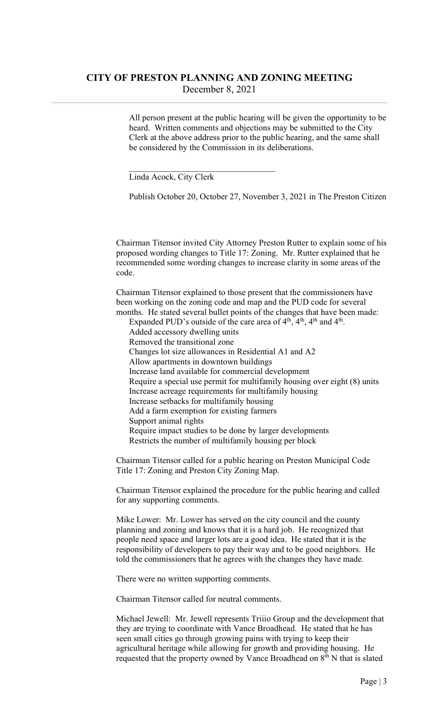All person present at the public hearing will be given the opportunity to be heard. Written comments and objections may be submitted to the City Clerk at the above address prior to the public hearing, and the same shall be considered by the Commission in its deliberations.

Linda Acock, City Clerk

Publish October 20, October 27, November 3, 2021 in The Preston Citizen

Chairman Titensor invited City Attorney Preston Rutter to explain some of his proposed wording changes to Title 17: Zoning. Mr. Rutter explained that he recommended some wording changes to increase clarity in some areas of the code.

Chairman Titensor explained to those present that the commissioners have been working on the zoning code and map and the PUD code for several months. He stated several bullet points of the changes that have been made:

Expanded PUD's outside of the care area of  $4<sup>th</sup>$ ,  $4<sup>th</sup>$ ,  $4<sup>th</sup>$  and  $4<sup>th</sup>$ . Added accessory dwelling units

- Removed the transitional zone
- Changes lot size allowances in Residential A1 and A2
- Allow apartments in downtown buildings

Increase land available for commercial development

- Require a special use permit for multifamily housing over eight (8) units Increase acreage requirements for multifamily housing
- Increase setbacks for multifamily housing
- Add a farm exemption for existing farmers
- Support animal rights
- Require impact studies to be done by larger developments
- Restricts the number of multifamily housing per block

Chairman Titensor called for a public hearing on Preston Municipal Code Title 17: Zoning and Preston City Zoning Map.

Chairman Titensor explained the procedure for the public hearing and called for any supporting comments.

Mike Lower: Mr. Lower has served on the city council and the county planning and zoning and knows that it is a hard job. He recognized that people need space and larger lots are a good idea. He stated that it is the responsibility of developers to pay their way and to be good neighbors. He told the commissioners that he agrees with the changes they have made.

There were no written supporting comments.

Chairman Titensor called for neutral comments.

Michael Jewell: Mr. Jewell represents Triiio Group and the development that they are trying to coordinate with Vance Broadhead. He stated that he has seen small cities go through growing pains with trying to keep their agricultural heritage while allowing for growth and providing housing. He requested that the property owned by Vance Broadhead on 8<sup>th</sup> N that is slated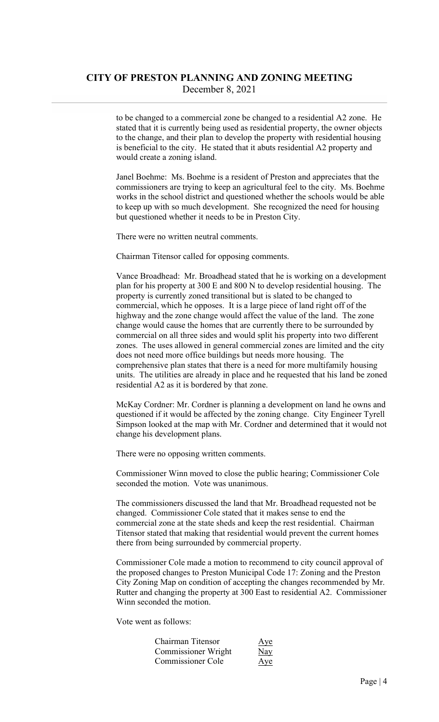to be changed to a commercial zone be changed to a residential A2 zone. He stated that it is currently being used as residential property, the owner objects to the change, and their plan to develop the property with residential housing is beneficial to the city. He stated that it abuts residential A2 property and would create a zoning island.

Janel Boehme: Ms. Boehme is a resident of Preston and appreciates that the commissioners are trying to keep an agricultural feel to the city. Ms. Boehme works in the school district and questioned whether the schools would be able to keep up with so much development. She recognized the need for housing but questioned whether it needs to be in Preston City.

There were no written neutral comments.

Chairman Titensor called for opposing comments.

Vance Broadhead: Mr. Broadhead stated that he is working on a development plan for his property at 300 E and 800 N to develop residential housing. The property is currently zoned transitional but is slated to be changed to commercial, which he opposes. It is a large piece of land right off of the highway and the zone change would affect the value of the land. The zone change would cause the homes that are currently there to be surrounded by commercial on all three sides and would split his property into two different zones. The uses allowed in general commercial zones are limited and the city does not need more office buildings but needs more housing. The comprehensive plan states that there is a need for more multifamily housing units. The utilities are already in place and he requested that his land be zoned residential A2 as it is bordered by that zone.

McKay Cordner: Mr. Cordner is planning a development on land he owns and questioned if it would be affected by the zoning change. City Engineer Tyrell Simpson looked at the map with Mr. Cordner and determined that it would not change his development plans.

There were no opposing written comments.

Commissioner Winn moved to close the public hearing; Commissioner Cole seconded the motion. Vote was unanimous.

The commissioners discussed the land that Mr. Broadhead requested not be changed. Commissioner Cole stated that it makes sense to end the commercial zone at the state sheds and keep the rest residential. Chairman Titensor stated that making that residential would prevent the current homes there from being surrounded by commercial property.

Commissioner Cole made a motion to recommend to city council approval of the proposed changes to Preston Municipal Code 17: Zoning and the Preston City Zoning Map on condition of accepting the changes recommended by Mr. Rutter and changing the property at 300 East to residential A2. Commissioner Winn seconded the motion.

Vote went as follows:

| Chairman Titensor          | Aye                      |
|----------------------------|--------------------------|
| <b>Commissioner Wright</b> | $\underline{\text{May}}$ |
| Commissioner Cole          | Aye                      |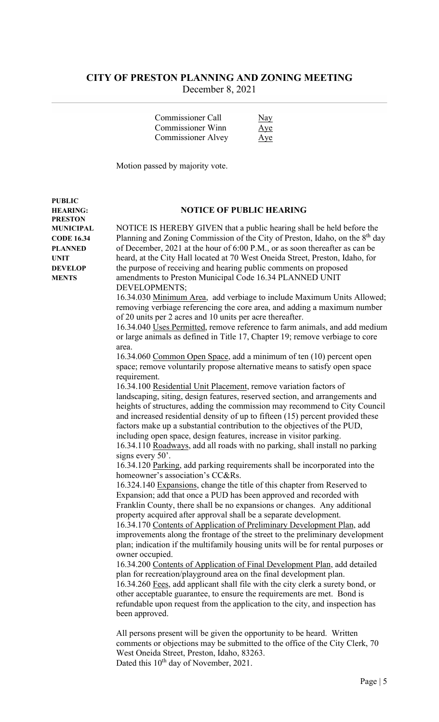| Commissioner Call         | Nay |
|---------------------------|-----|
| Commissioner Winn         | Aye |
| <b>Commissioner Alvey</b> | Aye |

Motion passed by majority vote.

#### HEARING: NOTICE OF PUBLIC HEARING

MUNICIPAL NOTICE IS HEREBY GIVEN that a public hearing shall be held before the **CODE 16.34** Planning and Zoning Commission of the City of Preston, Idaho, on the  $8<sup>th</sup>$  day PLANNED of December, 2021 at the hour of 6:00 P.M., or as soon thereafter as can be UNIT heard, at the City Hall located at 70 West Oneida Street, Preston, Idaho, for DEVELOP the purpose of receiving and hearing public comments on proposed MENTS amendments to Preston Municipal Code 16.34 PLANNED UNIT DEVELOPMENTS;

16.34.030 Minimum Area, add verbiage to include Maximum Units Allowed; removing verbiage referencing the core area, and adding a maximum number of 20 units per 2 acres and 10 units per acre thereafter.

16.34.040 Uses Permitted, remove reference to farm animals, and add medium or large animals as defined in Title 17, Chapter 19; remove verbiage to core area.

16.34.060 Common Open Space, add a minimum of ten (10) percent open space; remove voluntarily propose alternative means to satisfy open space requirement.

16.34.100 Residential Unit Placement, remove variation factors of landscaping, siting, design features, reserved section, and arrangements and heights of structures, adding the commission may recommend to City Council and increased residential density of up to fifteen (15) percent provided these factors make up a substantial contribution to the objectives of the PUD, including open space, design features, increase in visitor parking.

16.34.110 Roadways, add all roads with no parking, shall install no parking signs every 50'.

16.34.120 Parking, add parking requirements shall be incorporated into the homeowner's association's CC&Rs.

16.324.140 Expansions, change the title of this chapter from Reserved to Expansion; add that once a PUD has been approved and recorded with Franklin County, there shall be no expansions or changes. Any additional property acquired after approval shall be a separate development.

16.34.170 Contents of Application of Preliminary Development Plan, add improvements along the frontage of the street to the preliminary development plan; indication if the multifamily housing units will be for rental purposes or owner occupied.

16.34.200 Contents of Application of Final Development Plan, add detailed plan for recreation/playground area on the final development plan. 16.34.260 Fees, add applicant shall file with the city clerk a surety bond, or other acceptable guarantee, to ensure the requirements are met. Bond is refundable upon request from the application to the city, and inspection has been approved.

All persons present will be given the opportunity to be heard. Written comments or objections may be submitted to the office of the City Clerk, 70 West Oneida Street, Preston, Idaho, 83263. Dated this 10<sup>th</sup> day of November, 2021.

PRESTON

PUBLIC